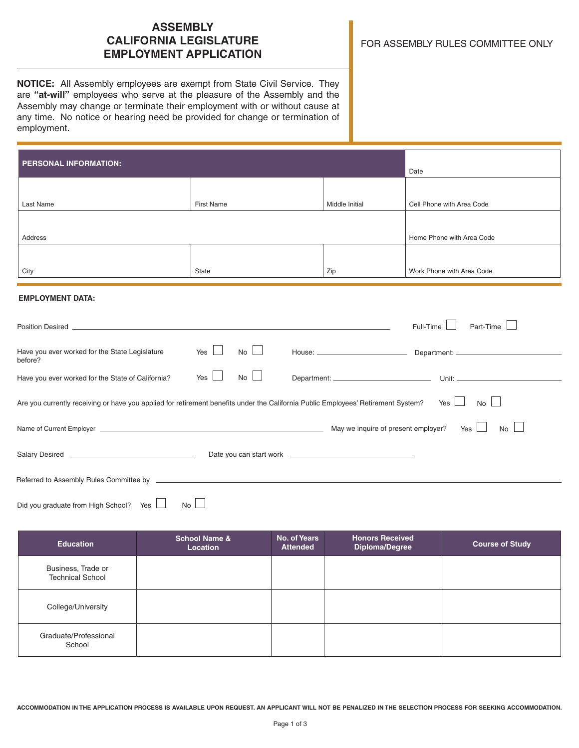# **ASSEMBLY CALIFORNIA LEGISLATURE EMPLOYMENT APPLICATION**

**NOTICE:** All Assembly employees are exempt from State Civil Service. They are **"at-will"** employees who serve at the pleasure of the Assembly and the Assembly may change or terminate their employment with or without cause at any time. No notice or hearing need be provided for change or termination of employment.

| <b>PERSONAL INFORMATION:</b>                                                                                                      | Date               |                |                                  |
|-----------------------------------------------------------------------------------------------------------------------------------|--------------------|----------------|----------------------------------|
|                                                                                                                                   |                    |                |                                  |
| Last Name                                                                                                                         | <b>First Name</b>  | Middle Initial | Cell Phone with Area Code        |
| Address                                                                                                                           |                    |                | Home Phone with Area Code        |
|                                                                                                                                   |                    |                |                                  |
| City                                                                                                                              | State              | Zip            | Work Phone with Area Code        |
| <b>EMPLOYMENT DATA:</b>                                                                                                           |                    |                |                                  |
|                                                                                                                                   |                    |                | Part-Time<br>Full-Time           |
| Have you ever worked for the State Legislature<br>before?                                                                         | $No$ $\Box$<br>Yes |                |                                  |
| Have you ever worked for the State of California?                                                                                 | No<br>Yes          |                |                                  |
| Are you currently receiving or have you applied for retirement benefits under the California Public Employees' Retirement System? |                    |                | <b>No</b><br>Yes $\vert$ $\vert$ |
|                                                                                                                                   |                    |                | $No$ $\Box$                      |
|                                                                                                                                   |                    |                |                                  |
|                                                                                                                                   |                    |                |                                  |
| Did you graduate from High School? Yes                                                                                            | No                 |                |                                  |

| <b>Education</b>                              | <b>School Name &amp;</b><br>Location | No. of Years<br><b>Attended</b> | <b>Honors Received</b><br>Diploma/Degree | <b>Course of Study</b> |
|-----------------------------------------------|--------------------------------------|---------------------------------|------------------------------------------|------------------------|
| Business, Trade or<br><b>Technical School</b> |                                      |                                 |                                          |                        |
| College/University                            |                                      |                                 |                                          |                        |
| Graduate/Professional<br>School               |                                      |                                 |                                          |                        |

**ACCOMMODATION IN THE APPLICATION PROCESS IS AVAILABLE UPON REQUEST. AN APPLICANT WILL NOT BE PENALIZED IN THE SELECTION PROCESS FOR SEEKING ACCOMMODATION.**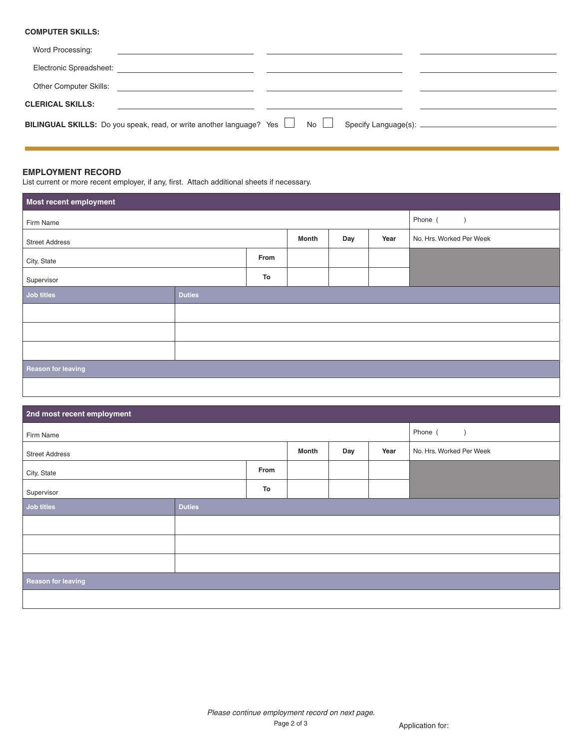## **COMPUTER SKILLS:**

| Word Processing:                                                                             |  |  |
|----------------------------------------------------------------------------------------------|--|--|
| Electronic Spreadsheet:<br><u> 1980 - Jan James James Santa Alemania (h. 1980).</u>          |  |  |
| Other Computer Skills:                                                                       |  |  |
| <b>CLERICAL SKILLS:</b>                                                                      |  |  |
| <b>BILINGUAL SKILLS:</b> Do you speak, read, or write another language? Yes $\Box$ No $\Box$ |  |  |

## **EMPLOYMENT RECORD**

List current or more recent employer, if any, first. Attach additional sheets if necessary.

| Most recent employment |               |  |       |     |      |                          |  |
|------------------------|---------------|--|-------|-----|------|--------------------------|--|
| Firm Name              |               |  |       |     |      | Phone (<br>$\rightarrow$ |  |
| <b>Street Address</b>  |               |  | Month | Day | Year | No. Hrs. Worked Per Week |  |
| From<br>City, State    |               |  |       |     |      |                          |  |
| To<br>Supervisor       |               |  |       |     |      |                          |  |
| Job titles             | <b>Duties</b> |  |       |     |      |                          |  |
|                        |               |  |       |     |      |                          |  |
|                        |               |  |       |     |      |                          |  |
|                        |               |  |       |     |      |                          |  |
| Reason for leaving     |               |  |       |     |      |                          |  |
|                        |               |  |       |     |      |                          |  |

| 2nd most recent employment |               |  |       |     |         |                          |  |
|----------------------------|---------------|--|-------|-----|---------|--------------------------|--|
| Firm Name                  |               |  |       |     | Phone ( |                          |  |
| <b>Street Address</b>      |               |  | Month | Day | Year    | No. Hrs. Worked Per Week |  |
| From<br>City, State        |               |  |       |     |         |                          |  |
| To<br>Supervisor           |               |  |       |     |         |                          |  |
| Job titles                 | <b>Duties</b> |  |       |     |         |                          |  |
|                            |               |  |       |     |         |                          |  |
|                            |               |  |       |     |         |                          |  |
|                            |               |  |       |     |         |                          |  |
| <b>Reason for leaving</b>  |               |  |       |     |         |                          |  |
|                            |               |  |       |     |         |                          |  |